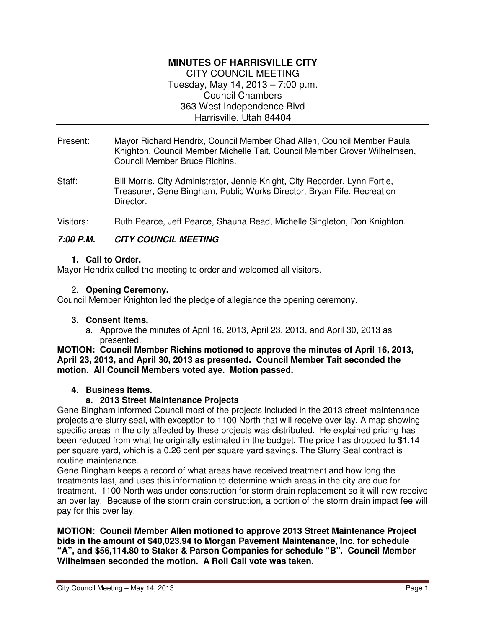# **MINUTES OF HARRISVILLE CITY**  CITY COUNCIL MEETING Tuesday, May 14, 2013 – 7:00 p.m. Council Chambers

363 West Independence Blvd

Harrisville, Utah 84404

- Present: Mayor Richard Hendrix, Council Member Chad Allen, Council Member Paula Knighton, Council Member Michelle Tait, Council Member Grover Wilhelmsen, Council Member Bruce Richins.
- Staff: Bill Morris, City Administrator, Jennie Knight, City Recorder, Lynn Fortie, Treasurer, Gene Bingham, Public Works Director, Bryan Fife, Recreation Director.
- Visitors: Ruth Pearce, Jeff Pearce, Shauna Read, Michelle Singleton, Don Knighton.

# **7:00 P.M. CITY COUNCIL MEETING**

## **1. Call to Order.**

Mayor Hendrix called the meeting to order and welcomed all visitors.

## 2. **Opening Ceremony.**

Council Member Knighton led the pledge of allegiance the opening ceremony.

### **3. Consent Items.**

a. Approve the minutes of April 16, 2013, April 23, 2013, and April 30, 2013 as presented.

**MOTION: Council Member Richins motioned to approve the minutes of April 16, 2013, April 23, 2013, and April 30, 2013 as presented. Council Member Tait seconded the motion. All Council Members voted aye. Motion passed.** 

# **4. Business Items.**

# **a. 2013 Street Maintenance Projects**

Gene Bingham informed Council most of the projects included in the 2013 street maintenance projects are slurry seal, with exception to 1100 North that will receive over lay. A map showing specific areas in the city affected by these projects was distributed. He explained pricing has been reduced from what he originally estimated in the budget. The price has dropped to \$1.14 per square yard, which is a 0.26 cent per square yard savings. The Slurry Seal contract is routine maintenance.

Gene Bingham keeps a record of what areas have received treatment and how long the treatments last, and uses this information to determine which areas in the city are due for treatment. 1100 North was under construction for storm drain replacement so it will now receive an over lay. Because of the storm drain construction, a portion of the storm drain impact fee will pay for this over lay.

### **MOTION: Council Member Allen motioned to approve 2013 Street Maintenance Project bids in the amount of \$40,023.94 to Morgan Pavement Maintenance, Inc. for schedule "A", and \$56,114.80 to Staker & Parson Companies for schedule "B". Council Member Wilhelmsen seconded the motion. A Roll Call vote was taken.**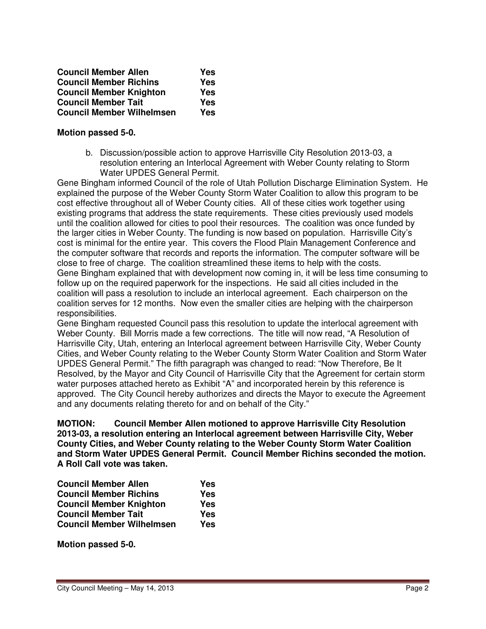| <b>Council Member Allen</b>      | Yes |
|----------------------------------|-----|
| <b>Council Member Richins</b>    | Yes |
| <b>Council Member Knighton</b>   | Yes |
| <b>Council Member Tait</b>       | Yes |
| <b>Council Member Wilhelmsen</b> | Yes |

### **Motion passed 5-0.**

b. Discussion/possible action to approve Harrisville City Resolution 2013-03, a resolution entering an Interlocal Agreement with Weber County relating to Storm Water UPDES General Permit.

Gene Bingham informed Council of the role of Utah Pollution Discharge Elimination System. He explained the purpose of the Weber County Storm Water Coalition to allow this program to be cost effective throughout all of Weber County cities. All of these cities work together using existing programs that address the state requirements. These cities previously used models until the coalition allowed for cities to pool their resources. The coalition was once funded by the larger cities in Weber County. The funding is now based on population. Harrisville City's cost is minimal for the entire year. This covers the Flood Plain Management Conference and the computer software that records and reports the information. The computer software will be close to free of charge. The coalition streamlined these items to help with the costs. Gene Bingham explained that with development now coming in, it will be less time consuming to follow up on the required paperwork for the inspections. He said all cities included in the coalition will pass a resolution to include an interlocal agreement. Each chairperson on the coalition serves for 12 months. Now even the smaller cities are helping with the chairperson responsibilities.

Gene Bingham requested Council pass this resolution to update the interlocal agreement with Weber County. Bill Morris made a few corrections. The title will now read, "A Resolution of Harrisville City, Utah, entering an Interlocal agreement between Harrisville City, Weber County Cities, and Weber County relating to the Weber County Storm Water Coalition and Storm Water UPDES General Permit." The fifth paragraph was changed to read: "Now Therefore, Be It Resolved, by the Mayor and City Council of Harrisville City that the Agreement for certain storm water purposes attached hereto as Exhibit "A" and incorporated herein by this reference is approved. The City Council hereby authorizes and directs the Mayor to execute the Agreement and any documents relating thereto for and on behalf of the City."

**MOTION: Council Member Allen motioned to approve Harrisville City Resolution 2013-03, a resolution entering an Interlocal agreement between Harrisville City, Weber County Cities, and Weber County relating to the Weber County Storm Water Coalition and Storm Water UPDES General Permit. Council Member Richins seconded the motion. A Roll Call vote was taken.** 

| <b>Council Member Allen</b>      | Yes        |
|----------------------------------|------------|
| <b>Council Member Richins</b>    | <b>Yes</b> |
| <b>Council Member Knighton</b>   | Yes        |
| <b>Council Member Tait</b>       | Yes        |
| <b>Council Member Wilhelmsen</b> | Yes        |

**Motion passed 5-0.**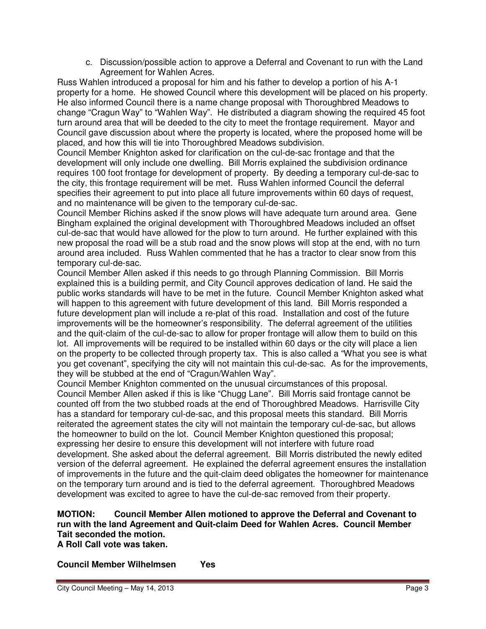c. Discussion/possible action to approve a Deferral and Covenant to run with the Land Agreement for Wahlen Acres.

Russ Wahlen introduced a proposal for him and his father to develop a portion of his A-1 property for a home. He showed Council where this development will be placed on his property. He also informed Council there is a name change proposal with Thoroughbred Meadows to change "Cragun Way" to "Wahlen Way". He distributed a diagram showing the required 45 foot turn around area that will be deeded to the city to meet the frontage requirement. Mayor and Council gave discussion about where the property is located, where the proposed home will be placed, and how this will tie into Thoroughbred Meadows subdivision.

Council Member Knighton asked for clarification on the cul-de-sac frontage and that the development will only include one dwelling. Bill Morris explained the subdivision ordinance requires 100 foot frontage for development of property. By deeding a temporary cul-de-sac to the city, this frontage requirement will be met. Russ Wahlen informed Council the deferral specifies their agreement to put into place all future improvements within 60 days of request, and no maintenance will be given to the temporary cul-de-sac.

Council Member Richins asked if the snow plows will have adequate turn around area. Gene Bingham explained the original development with Thoroughbred Meadows included an offset cul-de-sac that would have allowed for the plow to turn around. He further explained with this new proposal the road will be a stub road and the snow plows will stop at the end, with no turn around area included. Russ Wahlen commented that he has a tractor to clear snow from this temporary cul-de-sac.

Council Member Allen asked if this needs to go through Planning Commission. Bill Morris explained this is a building permit, and City Council approves dedication of land. He said the public works standards will have to be met in the future. Council Member Knighton asked what will happen to this agreement with future development of this land. Bill Morris responded a future development plan will include a re-plat of this road. Installation and cost of the future improvements will be the homeowner's responsibility. The deferral agreement of the utilities and the quit-claim of the cul-de-sac to allow for proper frontage will allow them to build on this lot. All improvements will be required to be installed within 60 days or the city will place a lien on the property to be collected through property tax. This is also called a "What you see is what you get covenant", specifying the city will not maintain this cul-de-sac. As for the improvements, they will be stubbed at the end of "Cragun/Wahlen Way".

Council Member Knighton commented on the unusual circumstances of this proposal. Council Member Allen asked if this is like "Chugg Lane". Bill Morris said frontage cannot be counted off from the two stubbed roads at the end of Thoroughbred Meadows. Harrisville City has a standard for temporary cul-de-sac, and this proposal meets this standard. Bill Morris reiterated the agreement states the city will not maintain the temporary cul-de-sac, but allows the homeowner to build on the lot. Council Member Knighton questioned this proposal; expressing her desire to ensure this development will not interfere with future road development. She asked about the deferral agreement. Bill Morris distributed the newly edited version of the deferral agreement. He explained the deferral agreement ensures the installation of improvements in the future and the quit-claim deed obligates the homeowner for maintenance on the temporary turn around and is tied to the deferral agreement. Thoroughbred Meadows development was excited to agree to have the cul-de-sac removed from their property.

# **MOTION: Council Member Allen motioned to approve the Deferral and Covenant to run with the land Agreement and Quit-claim Deed for Wahlen Acres. Council Member Tait seconded the motion.**

**A Roll Call vote was taken.** 

**Council Member Wilhelmsen Yes**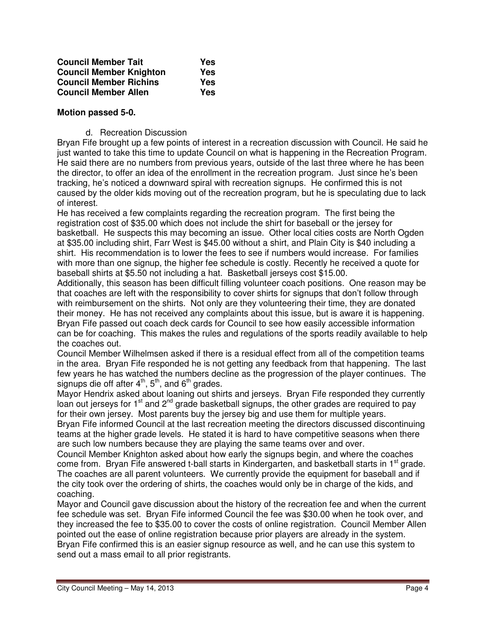| <b>Council Member Tait</b>     | Yes |
|--------------------------------|-----|
| <b>Council Member Knighton</b> | Yes |
| <b>Council Member Richins</b>  | Yes |
| <b>Council Member Allen</b>    | Yes |

### **Motion passed 5-0.**

### d. Recreation Discussion

Bryan Fife brought up a few points of interest in a recreation discussion with Council. He said he just wanted to take this time to update Council on what is happening in the Recreation Program. He said there are no numbers from previous years, outside of the last three where he has been the director, to offer an idea of the enrollment in the recreation program. Just since he's been tracking, he's noticed a downward spiral with recreation signups. He confirmed this is not caused by the older kids moving out of the recreation program, but he is speculating due to lack of interest.

He has received a few complaints regarding the recreation program. The first being the registration cost of \$35.00 which does not include the shirt for baseball or the jersey for basketball. He suspects this may becoming an issue. Other local cities costs are North Ogden at \$35.00 including shirt, Farr West is \$45.00 without a shirt, and Plain City is \$40 including a shirt. His recommendation is to lower the fees to see if numbers would increase. For families with more than one signup, the higher fee schedule is costly. Recently he received a quote for baseball shirts at \$5.50 not including a hat. Basketball jerseys cost \$15.00.

Additionally, this season has been difficult filling volunteer coach positions. One reason may be that coaches are left with the responsibility to cover shirts for signups that don't follow through with reimbursement on the shirts. Not only are they volunteering their time, they are donated their money. He has not received any complaints about this issue, but is aware it is happening. Bryan Fife passed out coach deck cards for Council to see how easily accessible information can be for coaching. This makes the rules and regulations of the sports readily available to help the coaches out.

Council Member Wilhelmsen asked if there is a residual effect from all of the competition teams in the area. Bryan Fife responded he is not getting any feedback from that happening. The last few years he has watched the numbers decline as the progression of the player continues. The signups die off after  $4<sup>th</sup>$ ,  $5<sup>th</sup>$ , and  $6<sup>th</sup>$  grades.

Mayor Hendrix asked about loaning out shirts and jerseys. Bryan Fife responded they currently loan out jerseys for  $1<sup>st</sup>$  and  $2<sup>nd</sup>$  grade basketball signups, the other grades are required to pay for their own jersey. Most parents buy the jersey big and use them for multiple years.

Bryan Fife informed Council at the last recreation meeting the directors discussed discontinuing teams at the higher grade levels. He stated it is hard to have competitive seasons when there are such low numbers because they are playing the same teams over and over.

Council Member Knighton asked about how early the signups begin, and where the coaches come from. Bryan Fife answered t-ball starts in Kindergarten, and basketball starts in 1<sup>st</sup> grade. The coaches are all parent volunteers. We currently provide the equipment for baseball and if the city took over the ordering of shirts, the coaches would only be in charge of the kids, and coaching.

Mayor and Council gave discussion about the history of the recreation fee and when the current fee schedule was set. Bryan Fife informed Council the fee was \$30.00 when he took over, and they increased the fee to \$35.00 to cover the costs of online registration. Council Member Allen pointed out the ease of online registration because prior players are already in the system. Bryan Fife confirmed this is an easier signup resource as well, and he can use this system to send out a mass email to all prior registrants.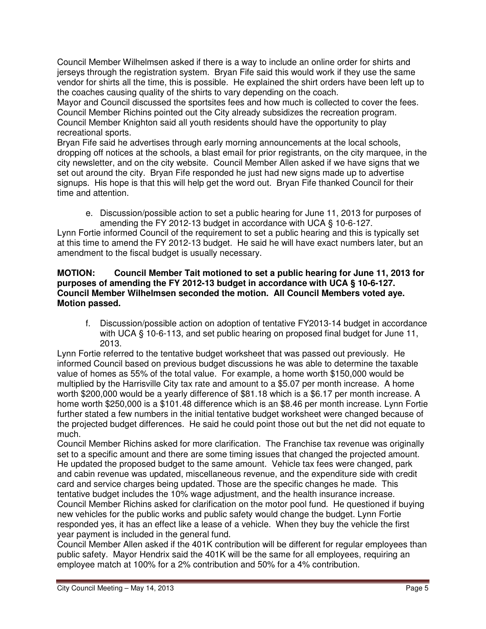Council Member Wilhelmsen asked if there is a way to include an online order for shirts and jerseys through the registration system. Bryan Fife said this would work if they use the same vendor for shirts all the time, this is possible. He explained the shirt orders have been left up to the coaches causing quality of the shirts to vary depending on the coach.

Mayor and Council discussed the sportsites fees and how much is collected to cover the fees. Council Member Richins pointed out the City already subsidizes the recreation program. Council Member Knighton said all youth residents should have the opportunity to play recreational sports.

Bryan Fife said he advertises through early morning announcements at the local schools, dropping off notices at the schools, a blast email for prior registrants, on the city marquee, in the city newsletter, and on the city website. Council Member Allen asked if we have signs that we set out around the city. Bryan Fife responded he just had new signs made up to advertise signups. His hope is that this will help get the word out. Bryan Fife thanked Council for their time and attention.

e. Discussion/possible action to set a public hearing for June 11, 2013 for purposes of amending the FY 2012-13 budget in accordance with UCA § 10-6-127.

Lynn Fortie informed Council of the requirement to set a public hearing and this is typically set at this time to amend the FY 2012-13 budget. He said he will have exact numbers later, but an amendment to the fiscal budget is usually necessary.

### **MOTION: Council Member Tait motioned to set a public hearing for June 11, 2013 for purposes of amending the FY 2012-13 budget in accordance with UCA § 10-6-127. Council Member Wilhelmsen seconded the motion. All Council Members voted aye. Motion passed.**

f. Discussion/possible action on adoption of tentative FY2013-14 budget in accordance with UCA § 10-6-113, and set public hearing on proposed final budget for June 11, 2013.

Lynn Fortie referred to the tentative budget worksheet that was passed out previously. He informed Council based on previous budget discussions he was able to determine the taxable value of homes as 55% of the total value. For example, a home worth \$150,000 would be multiplied by the Harrisville City tax rate and amount to a \$5.07 per month increase. A home worth \$200,000 would be a yearly difference of \$81.18 which is a \$6.17 per month increase. A home worth \$250,000 is a \$101.48 difference which is an \$8.46 per month increase. Lynn Fortie further stated a few numbers in the initial tentative budget worksheet were changed because of the projected budget differences. He said he could point those out but the net did not equate to much.

Council Member Richins asked for more clarification. The Franchise tax revenue was originally set to a specific amount and there are some timing issues that changed the projected amount. He updated the proposed budget to the same amount. Vehicle tax fees were changed, park and cabin revenue was updated, miscellaneous revenue, and the expenditure side with credit card and service charges being updated. Those are the specific changes he made. This tentative budget includes the 10% wage adjustment, and the health insurance increase. Council Member Richins asked for clarification on the motor pool fund. He questioned if buying new vehicles for the public works and public safety would change the budget. Lynn Fortie responded yes, it has an effect like a lease of a vehicle. When they buy the vehicle the first year payment is included in the general fund.

Council Member Allen asked if the 401K contribution will be different for regular employees than public safety. Mayor Hendrix said the 401K will be the same for all employees, requiring an employee match at 100% for a 2% contribution and 50% for a 4% contribution.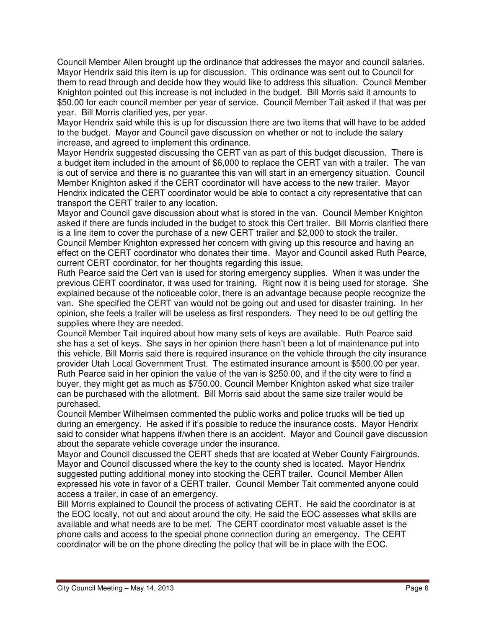Council Member Allen brought up the ordinance that addresses the mayor and council salaries. Mayor Hendrix said this item is up for discussion. This ordinance was sent out to Council for them to read through and decide how they would like to address this situation. Council Member Knighton pointed out this increase is not included in the budget. Bill Morris said it amounts to \$50.00 for each council member per year of service. Council Member Tait asked if that was per year. Bill Morris clarified yes, per year.

Mayor Hendrix said while this is up for discussion there are two items that will have to be added to the budget. Mayor and Council gave discussion on whether or not to include the salary increase, and agreed to implement this ordinance.

Mayor Hendrix suggested discussing the CERT van as part of this budget discussion. There is a budget item included in the amount of \$6,000 to replace the CERT van with a trailer. The van is out of service and there is no guarantee this van will start in an emergency situation. Council Member Knighton asked if the CERT coordinator will have access to the new trailer. Mayor Hendrix indicated the CERT coordinator would be able to contact a city representative that can transport the CERT trailer to any location.

Mayor and Council gave discussion about what is stored in the van. Council Member Knighton asked if there are funds included in the budget to stock this Cert trailer. Bill Morris clarified there is a line item to cover the purchase of a new CERT trailer and \$2,000 to stock the trailer. Council Member Knighton expressed her concern with giving up this resource and having an effect on the CERT coordinator who donates their time. Mayor and Council asked Ruth Pearce, current CERT coordinator, for her thoughts regarding this issue.

Ruth Pearce said the Cert van is used for storing emergency supplies. When it was under the previous CERT coordinator, it was used for training. Right now it is being used for storage. She explained because of the noticeable color, there is an advantage because people recognize the van. She specified the CERT van would not be going out and used for disaster training. In her opinion, she feels a trailer will be useless as first responders. They need to be out getting the supplies where they are needed.

Council Member Tait inquired about how many sets of keys are available. Ruth Pearce said she has a set of keys. She says in her opinion there hasn't been a lot of maintenance put into this vehicle. Bill Morris said there is required insurance on the vehicle through the city insurance provider Utah Local Government Trust. The estimated insurance amount is \$500.00 per year. Ruth Pearce said in her opinion the value of the van is \$250.00, and if the city were to find a buyer, they might get as much as \$750.00. Council Member Knighton asked what size trailer can be purchased with the allotment. Bill Morris said about the same size trailer would be purchased.

Council Member Wilhelmsen commented the public works and police trucks will be tied up during an emergency. He asked if it's possible to reduce the insurance costs. Mayor Hendrix said to consider what happens if/when there is an accident. Mayor and Council gave discussion about the separate vehicle coverage under the insurance.

Mayor and Council discussed the CERT sheds that are located at Weber County Fairgrounds. Mayor and Council discussed where the key to the county shed is located. Mayor Hendrix suggested putting additional money into stocking the CERT trailer. Council Member Allen expressed his vote in favor of a CERT trailer. Council Member Tait commented anyone could access a trailer, in case of an emergency.

Bill Morris explained to Council the process of activating CERT. He said the coordinator is at the EOC locally, not out and about around the city. He said the EOC assesses what skills are available and what needs are to be met. The CERT coordinator most valuable asset is the phone calls and access to the special phone connection during an emergency. The CERT coordinator will be on the phone directing the policy that will be in place with the EOC.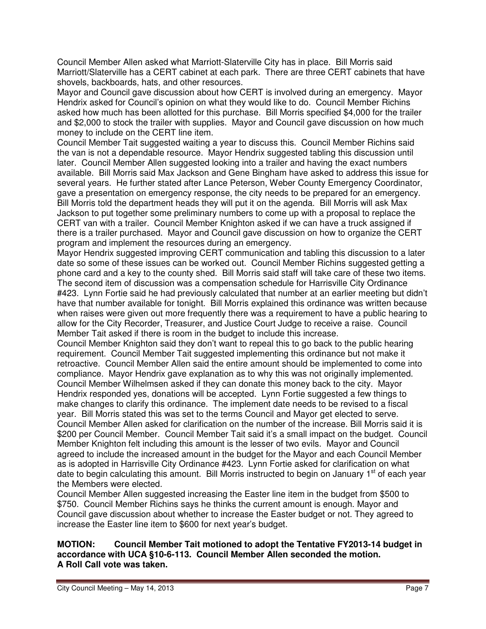Council Member Allen asked what Marriott-Slaterville City has in place. Bill Morris said Marriott/Slaterville has a CERT cabinet at each park. There are three CERT cabinets that have shovels, backboards, hats, and other resources.

Mayor and Council gave discussion about how CERT is involved during an emergency. Mayor Hendrix asked for Council's opinion on what they would like to do. Council Member Richins asked how much has been allotted for this purchase. Bill Morris specified \$4,000 for the trailer and \$2,000 to stock the trailer with supplies. Mayor and Council gave discussion on how much money to include on the CERT line item.

Council Member Tait suggested waiting a year to discuss this. Council Member Richins said the van is not a dependable resource. Mayor Hendrix suggested tabling this discussion until later. Council Member Allen suggested looking into a trailer and having the exact numbers available. Bill Morris said Max Jackson and Gene Bingham have asked to address this issue for several years. He further stated after Lance Peterson, Weber County Emergency Coordinator, gave a presentation on emergency response, the city needs to be prepared for an emergency. Bill Morris told the department heads they will put it on the agenda. Bill Morris will ask Max Jackson to put together some preliminary numbers to come up with a proposal to replace the CERT van with a trailer. Council Member Knighton asked if we can have a truck assigned if there is a trailer purchased. Mayor and Council gave discussion on how to organize the CERT program and implement the resources during an emergency.

Mayor Hendrix suggested improving CERT communication and tabling this discussion to a later date so some of these issues can be worked out. Council Member Richins suggested getting a phone card and a key to the county shed. Bill Morris said staff will take care of these two items. The second item of discussion was a compensation schedule for Harrisville City Ordinance #423. Lynn Fortie said he had previously calculated that number at an earlier meeting but didn't have that number available for tonight. Bill Morris explained this ordinance was written because when raises were given out more frequently there was a requirement to have a public hearing to allow for the City Recorder, Treasurer, and Justice Court Judge to receive a raise. Council Member Tait asked if there is room in the budget to include this increase.

Council Member Knighton said they don't want to repeal this to go back to the public hearing requirement. Council Member Tait suggested implementing this ordinance but not make it retroactive. Council Member Allen said the entire amount should be implemented to come into compliance. Mayor Hendrix gave explanation as to why this was not originally implemented. Council Member Wilhelmsen asked if they can donate this money back to the city. Mayor Hendrix responded yes, donations will be accepted. Lynn Fortie suggested a few things to make changes to clarify this ordinance. The implement date needs to be revised to a fiscal year. Bill Morris stated this was set to the terms Council and Mayor get elected to serve. Council Member Allen asked for clarification on the number of the increase. Bill Morris said it is \$200 per Council Member. Council Member Tait said it's a small impact on the budget. Council Member Knighton felt including this amount is the lesser of two evils. Mayor and Council agreed to include the increased amount in the budget for the Mayor and each Council Member as is adopted in Harrisville City Ordinance #423. Lynn Fortie asked for clarification on what date to begin calculating this amount. Bill Morris instructed to begin on January 1<sup>st</sup> of each year the Members were elected.

Council Member Allen suggested increasing the Easter line item in the budget from \$500 to \$750. Council Member Richins says he thinks the current amount is enough. Mayor and Council gave discussion about whether to increase the Easter budget or not. They agreed to increase the Easter line item to \$600 for next year's budget.

### **MOTION: Council Member Tait motioned to adopt the Tentative FY2013-14 budget in accordance with UCA §10-6-113. Council Member Allen seconded the motion. A Roll Call vote was taken.**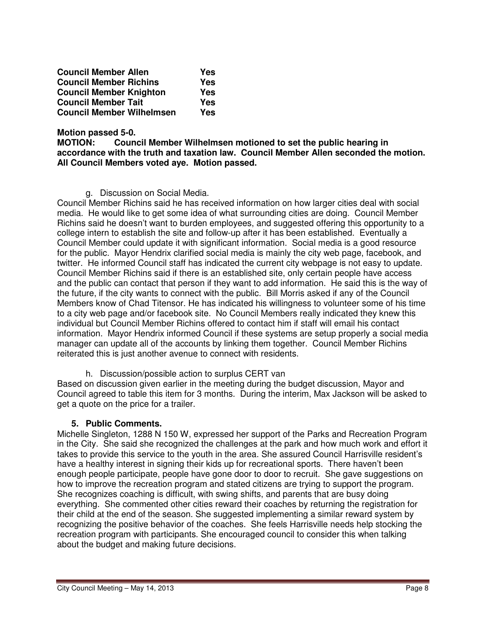| <b>Council Member Allen</b>      | Yes |
|----------------------------------|-----|
| <b>Council Member Richins</b>    | Yes |
| <b>Council Member Knighton</b>   | Yes |
| <b>Council Member Tait</b>       | Yes |
| <b>Council Member Wilhelmsen</b> | Yes |

**Motion passed 5-0.** 

**MOTION: Council Member Wilhelmsen motioned to set the public hearing in accordance with the truth and taxation law. Council Member Allen seconded the motion. All Council Members voted aye. Motion passed.** 

g. Discussion on Social Media.

Council Member Richins said he has received information on how larger cities deal with social media. He would like to get some idea of what surrounding cities are doing. Council Member Richins said he doesn't want to burden employees, and suggested offering this opportunity to a college intern to establish the site and follow-up after it has been established. Eventually a Council Member could update it with significant information. Social media is a good resource for the public. Mayor Hendrix clarified social media is mainly the city web page, facebook, and twitter. He informed Council staff has indicated the current city webpage is not easy to update. Council Member Richins said if there is an established site, only certain people have access and the public can contact that person if they want to add information. He said this is the way of the future, if the city wants to connect with the public. Bill Morris asked if any of the Council Members know of Chad Titensor. He has indicated his willingness to volunteer some of his time to a city web page and/or facebook site. No Council Members really indicated they knew this individual but Council Member Richins offered to contact him if staff will email his contact information. Mayor Hendrix informed Council if these systems are setup properly a social media manager can update all of the accounts by linking them together. Council Member Richins reiterated this is just another avenue to connect with residents.

h. Discussion/possible action to surplus CERT van

Based on discussion given earlier in the meeting during the budget discussion, Mayor and Council agreed to table this item for 3 months. During the interim, Max Jackson will be asked to get a quote on the price for a trailer.

### **5. Public Comments.**

Michelle Singleton, 1288 N 150 W, expressed her support of the Parks and Recreation Program in the City. She said she recognized the challenges at the park and how much work and effort it takes to provide this service to the youth in the area. She assured Council Harrisville resident's have a healthy interest in signing their kids up for recreational sports. There haven't been enough people participate, people have gone door to door to recruit. She gave suggestions on how to improve the recreation program and stated citizens are trying to support the program. She recognizes coaching is difficult, with swing shifts, and parents that are busy doing everything. She commented other cities reward their coaches by returning the registration for their child at the end of the season. She suggested implementing a similar reward system by recognizing the positive behavior of the coaches. She feels Harrisville needs help stocking the recreation program with participants. She encouraged council to consider this when talking about the budget and making future decisions.